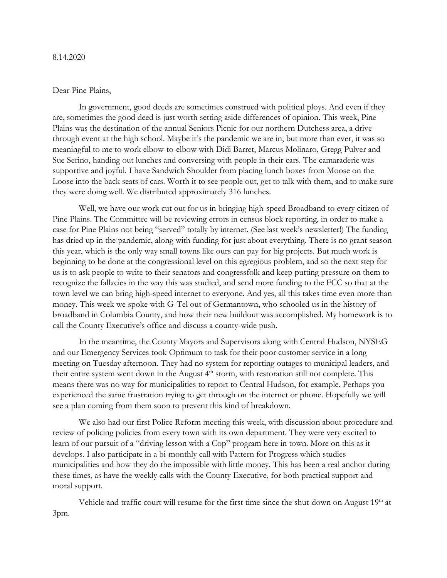## Dear Pine Plains,

In government, good deeds are sometimes construed with political ploys. And even if they are, sometimes the good deed is just worth setting aside differences of opinion. This week, Pine Plains was the destination of the annual Seniors Picnic for our northern Dutchess area, a drivethrough event at the high school. Maybe it's the pandemic we are in, but more than ever, it was so meaningful to me to work elbow-to-elbow with Didi Barret, Marcus Molinaro, Gregg Pulver and Sue Serino, handing out lunches and conversing with people in their cars. The camaraderie was supportive and joyful. I have Sandwich Shoulder from placing lunch boxes from Moose on the Loose into the back seats of cars. Worth it to see people out, get to talk with them, and to make sure they were doing well. We distributed approximately 316 lunches.

Well, we have our work cut out for us in bringing high-speed Broadband to every citizen of Pine Plains. The Committee will be reviewing errors in census block reporting, in order to make a case for Pine Plains not being "served" totally by internet. (See last week's newsletter!) The funding has dried up in the pandemic, along with funding for just about everything. There is no grant season this year, which is the only way small towns like ours can pay for big projects. But much work is beginning to be done at the congressional level on this egregious problem, and so the next step for us is to ask people to write to their senators and congressfolk and keep putting pressure on them to recognize the fallacies in the way this was studied, and send more funding to the FCC so that at the town level we can bring high-speed internet to everyone. And yes, all this takes time even more than money. This week we spoke with G-Tel out of Germantown, who schooled us in the history of broadband in Columbia County, and how their new buildout was accomplished. My homework is to call the County Executive's office and discuss a county-wide push.

In the meantime, the County Mayors and Supervisors along with Central Hudson, NYSEG and our Emergency Services took Optimum to task for their poor customer service in a long meeting on Tuesday afternoon. They had no system for reporting outages to municipal leaders, and their entire system went down in the August 4<sup>th</sup> storm, with restoration still not complete. This means there was no way for municipalities to report to Central Hudson, for example. Perhaps you experienced the same frustration trying to get through on the internet or phone. Hopefully we will see a plan coming from them soon to prevent this kind of breakdown.

We also had our first Police Reform meeting this week, with discussion about procedure and review of policing policies from every town with its own department. They were very excited to learn of our pursuit of a "driving lesson with a Cop" program here in town. More on this as it develops. I also participate in a bi-monthly call with Pattern for Progress which studies municipalities and how they do the impossible with little money. This has been a real anchor during these times, as have the weekly calls with the County Executive, for both practical support and moral support.

Vehicle and traffic court will resume for the first time since the shut-down on August 19<sup>th</sup> at 3pm.